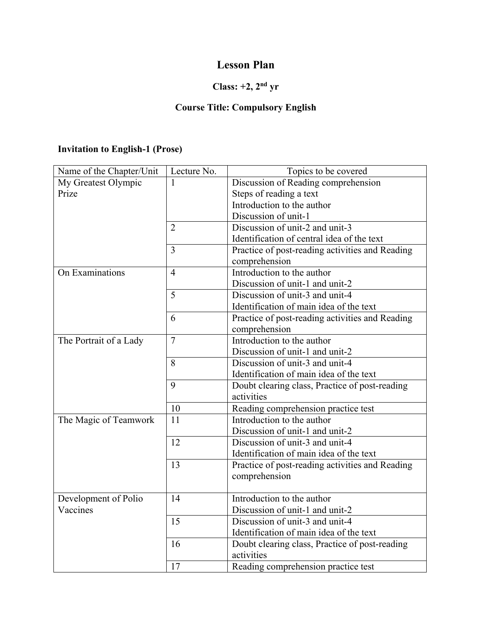## **Lesson Plan**

## **Class: +2, 2nd yr**

## **Course Title: Compulsory English**

### **Invitation to English-1 (Prose)**

| Name of the Chapter/Unit | Lecture No.    | Topics to be covered                                             |
|--------------------------|----------------|------------------------------------------------------------------|
| My Greatest Olympic      | 1              | Discussion of Reading comprehension                              |
| Prize                    |                | Steps of reading a text                                          |
|                          |                | Introduction to the author                                       |
|                          |                | Discussion of unit-1                                             |
|                          | $\overline{2}$ | Discussion of unit-2 and unit-3                                  |
|                          |                | Identification of central idea of the text                       |
|                          | $\overline{3}$ | Practice of post-reading activities and Reading<br>comprehension |
| On Examinations          | $\overline{4}$ | Introduction to the author                                       |
|                          |                | Discussion of unit-1 and unit-2                                  |
|                          | $\overline{5}$ | Discussion of unit-3 and unit-4                                  |
|                          |                | Identification of main idea of the text                          |
|                          | 6              | Practice of post-reading activities and Reading<br>comprehension |
| The Portrait of a Lady   | $\overline{7}$ | Introduction to the author                                       |
|                          |                | Discussion of unit-1 and unit-2                                  |
|                          | 8              | Discussion of unit-3 and unit-4                                  |
|                          |                | Identification of main idea of the text                          |
|                          | 9              | Doubt clearing class, Practice of post-reading<br>activities     |
|                          | 10             | Reading comprehension practice test                              |
| The Magic of Teamwork    | 11             | Introduction to the author                                       |
|                          |                | Discussion of unit-1 and unit-2                                  |
|                          | 12             | Discussion of unit-3 and unit-4                                  |
|                          |                | Identification of main idea of the text                          |
|                          | 13             | Practice of post-reading activities and Reading                  |
|                          |                | comprehension                                                    |
|                          |                |                                                                  |
| Development of Polio     | 14             | Introduction to the author                                       |
| Vaccines                 |                | Discussion of unit-1 and unit-2                                  |
|                          | 15             | Discussion of unit-3 and unit-4                                  |
|                          |                | Identification of main idea of the text                          |
|                          | 16             | Doubt clearing class, Practice of post-reading                   |
|                          |                | activities                                                       |
|                          | 17             | Reading comprehension practice test                              |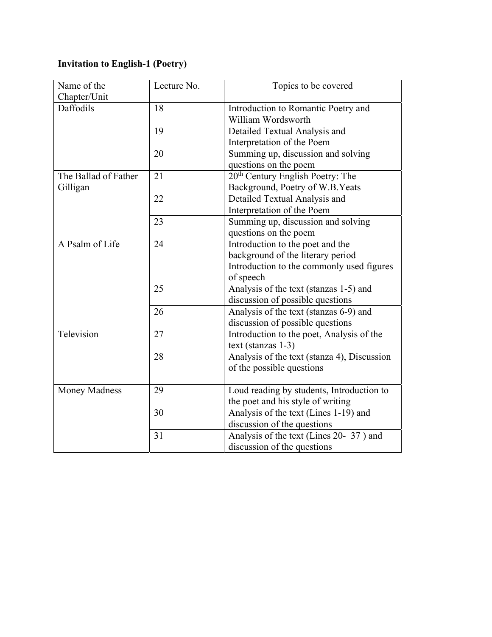## **Invitation to English-1 (Poetry)**

| Name of the          | Lecture No. | Topics to be covered                         |
|----------------------|-------------|----------------------------------------------|
| Chapter/Unit         |             |                                              |
| Daffodils            | 18          | Introduction to Romantic Poetry and          |
|                      |             | William Wordsworth                           |
|                      | 19          | Detailed Textual Analysis and                |
|                      |             | Interpretation of the Poem                   |
|                      | 20          | Summing up, discussion and solving           |
|                      |             | questions on the poem                        |
| The Ballad of Father | 21          | 20 <sup>th</sup> Century English Poetry: The |
| Gilligan             |             | Background, Poetry of W.B.Yeats              |
|                      | 22          | Detailed Textual Analysis and                |
|                      |             | Interpretation of the Poem                   |
|                      | 23          | Summing up, discussion and solving           |
|                      |             | questions on the poem                        |
| A Psalm of Life      | 24          | Introduction to the poet and the             |
|                      |             | background of the literary period            |
|                      |             | Introduction to the commonly used figures    |
|                      |             | of speech                                    |
|                      | 25          | Analysis of the text (stanzas 1-5) and       |
|                      |             | discussion of possible questions             |
|                      | 26          | Analysis of the text (stanzas 6-9) and       |
|                      |             | discussion of possible questions             |
| Television           | 27          | Introduction to the poet, Analysis of the    |
|                      |             | $text$ (stanzas 1-3)                         |
|                      | 28          | Analysis of the text (stanza 4), Discussion  |
|                      |             | of the possible questions                    |
|                      |             |                                              |
| <b>Money Madness</b> | 29          | Loud reading by students, Introduction to    |
|                      |             | the poet and his style of writing            |
|                      | 30          | Analysis of the text (Lines 1-19) and        |
|                      |             | discussion of the questions                  |
|                      | 31          | Analysis of the text (Lines 20- 37) and      |
|                      |             | discussion of the questions                  |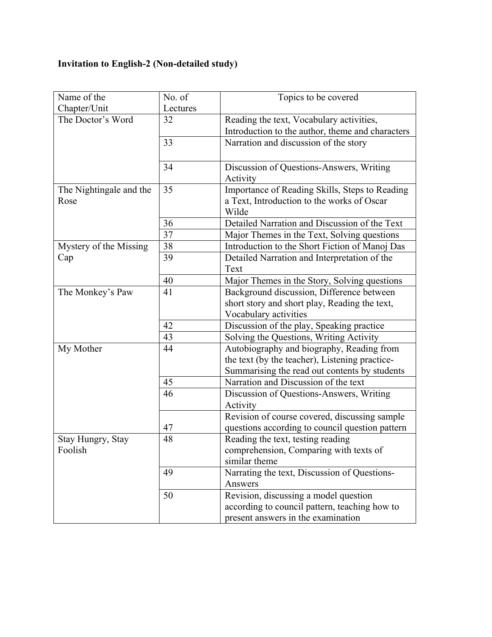# **Invitation to English-2 (Non-detailed study)**

| Name of the             | No. of   | Topics to be covered                             |
|-------------------------|----------|--------------------------------------------------|
| Chapter/Unit            | Lectures |                                                  |
| The Doctor's Word       | 32       | Reading the text, Vocabulary activities,         |
|                         |          | Introduction to the author, theme and characters |
|                         | 33       | Narration and discussion of the story            |
|                         |          |                                                  |
|                         | 34       | Discussion of Questions-Answers, Writing         |
|                         |          | Activity                                         |
| The Nightingale and the | 35       | Importance of Reading Skills, Steps to Reading   |
| Rose                    |          | a Text, Introduction to the works of Oscar       |
|                         |          | Wilde                                            |
|                         | 36       | Detailed Narration and Discussion of the Text    |
|                         | 37       | Major Themes in the Text, Solving questions      |
| Mystery of the Missing  | 38       | Introduction to the Short Fiction of Manoj Das   |
| Cap                     | 39       | Detailed Narration and Interpretation of the     |
|                         |          | Text                                             |
|                         | 40       | Major Themes in the Story, Solving questions     |
| The Monkey's Paw        | 41       | Background discussion, Difference between        |
|                         |          | short story and short play, Reading the text,    |
|                         |          | Vocabulary activities                            |
|                         | 42       | Discussion of the play, Speaking practice        |
|                         | 43       | Solving the Questions, Writing Activity          |
| My Mother               | 44       | Autobiography and biography, Reading from        |
|                         |          | the text (by the teacher), Listening practice-   |
|                         |          | Summarising the read out contents by students    |
|                         | 45       | Narration and Discussion of the text             |
|                         | 46       | Discussion of Questions-Answers, Writing         |
|                         |          | Activity                                         |
|                         |          | Revision of course covered, discussing sample    |
|                         | 47       | questions according to council question pattern  |
| Stay Hungry, Stay       | 48       | Reading the text, testing reading                |
| Foolish                 |          | comprehension, Comparing with texts of           |
|                         |          | similar theme                                    |
|                         | 49       | Narrating the text, Discussion of Questions-     |
|                         |          | Answers                                          |
|                         | 50       | Revision, discussing a model question            |
|                         |          | according to council pattern, teaching how to    |
|                         |          | present answers in the examination               |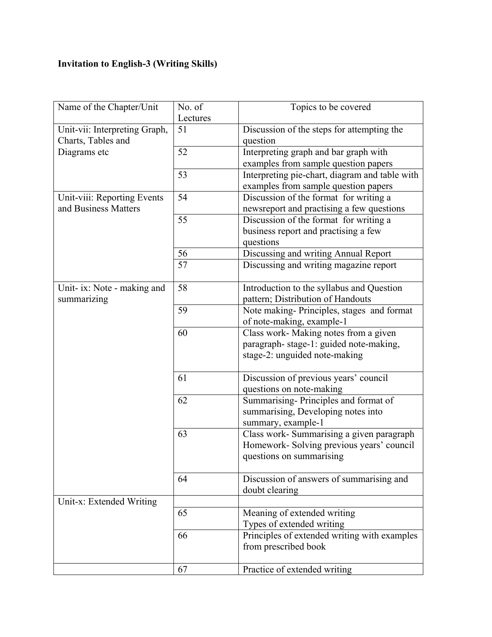## **Invitation to English-3 (Writing Skills)**

| Name of the Chapter/Unit      | No. of   | Topics to be covered                           |
|-------------------------------|----------|------------------------------------------------|
|                               | Lectures |                                                |
| Unit-vii: Interpreting Graph, | 51       | Discussion of the steps for attempting the     |
| Charts, Tables and            |          | question                                       |
| Diagrams etc                  | 52       | Interpreting graph and bar graph with          |
|                               |          | examples from sample question papers           |
|                               | 53       | Interpreting pie-chart, diagram and table with |
|                               |          | examples from sample question papers           |
| Unit-viii: Reporting Events   | 54       | Discussion of the format for writing a         |
| and Business Matters          |          | newsreport and practising a few questions      |
|                               | 55       | Discussion of the format for writing a         |
|                               |          | business report and practising a few           |
|                               |          | questions                                      |
|                               | 56       | Discussing and writing Annual Report           |
|                               | 57       | Discussing and writing magazine report         |
|                               |          |                                                |
| Unit- ix: Note - making and   | 58       | Introduction to the syllabus and Question      |
| summarizing                   |          | pattern; Distribution of Handouts              |
|                               | 59       | Note making-Principles, stages and format      |
|                               |          | of note-making, example-1                      |
|                               | 60       | Class work- Making notes from a given          |
|                               |          | paragraph-stage-1: guided note-making,         |
|                               |          | stage-2: unguided note-making                  |
|                               |          |                                                |
|                               | 61       | Discussion of previous years' council          |
|                               |          | questions on note-making                       |
|                               | 62       | Summarising-Principles and format of           |
|                               |          | summarising, Developing notes into             |
|                               |          | summary, example-1                             |
|                               | 63       | Class work- Summarising a given paragraph      |
|                               |          | Homework- Solving previous years' council      |
|                               |          | questions on summarising                       |
|                               |          |                                                |
|                               | 64       | Discussion of answers of summarising and       |
|                               |          | doubt clearing                                 |
| Unit-x: Extended Writing      |          |                                                |
|                               | 65       | Meaning of extended writing                    |
|                               |          | Types of extended writing                      |
|                               | 66       | Principles of extended writing with examples   |
|                               |          | from prescribed book                           |
|                               |          |                                                |
|                               | 67       | Practice of extended writing                   |